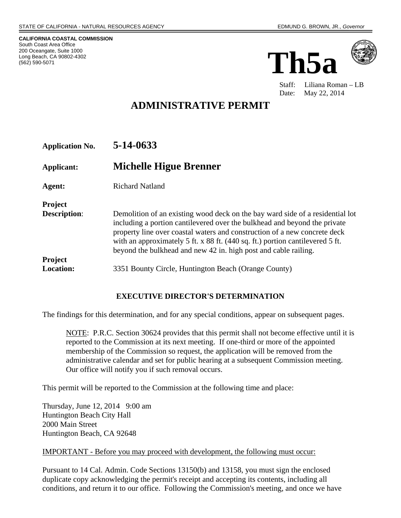**CALIFORNIA COASTAL COMMISSION**  South Coast Area Office 200 Oceangate, Suite 1000 Long Beach, CA 90802-4302 (562) 590-5071





 Staff: Liliana Roman – LB Date: May 22, 2014

# **ADMINISTRATIVE PERMIT**

| <b>Application No.</b>                | 5-14-0633                                                                                                                                                                                                                                                                                                                                                                                   |
|---------------------------------------|---------------------------------------------------------------------------------------------------------------------------------------------------------------------------------------------------------------------------------------------------------------------------------------------------------------------------------------------------------------------------------------------|
| Applicant:                            | Michelle Higue Brenner                                                                                                                                                                                                                                                                                                                                                                      |
| Agent:                                | <b>Richard Natland</b>                                                                                                                                                                                                                                                                                                                                                                      |
| <b>Project</b><br><b>Description:</b> | Demolition of an existing wood deck on the bay ward side of a residential lot<br>including a portion cantilevered over the bulkhead and beyond the private<br>property line over coastal waters and construction of a new concrete deck<br>with an approximately 5 ft. x 88 ft. (440 sq. ft.) portion cantilevered 5 ft.<br>beyond the bulkhead and new 42 in. high post and cable railing. |
| <b>Project</b><br><b>Location:</b>    | 3351 Bounty Circle, Huntington Beach (Orange County)                                                                                                                                                                                                                                                                                                                                        |

#### **EXECUTIVE DIRECTOR'S DETERMINATION**

The findings for this determination, and for any special conditions, appear on subsequent pages.

NOTE: P.R.C. Section 30624 provides that this permit shall not become effective until it is reported to the Commission at its next meeting. If one-third or more of the appointed membership of the Commission so request, the application will be removed from the administrative calendar and set for public hearing at a subsequent Commission meeting. Our office will notify you if such removal occurs.

This permit will be reported to the Commission at the following time and place:

Thursday, June 12, 2014 9:00 am Huntington Beach City Hall 2000 Main Street Huntington Beach, CA 92648

#### IMPORTANT - Before you may proceed with development, the following must occur:

Pursuant to 14 Cal. Admin. Code Sections 13150(b) and 13158, you must sign the enclosed duplicate copy acknowledging the permit's receipt and accepting its contents, including all conditions, and return it to our office. Following the Commission's meeting, and once we have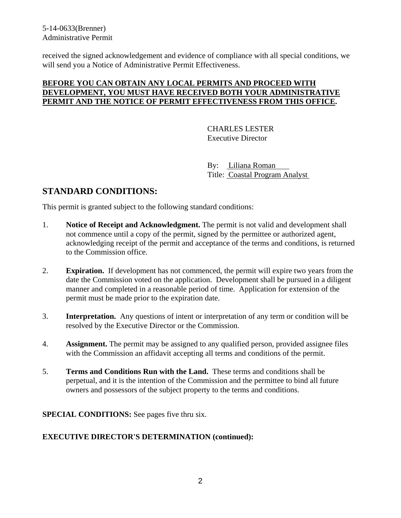received the signed acknowledgement and evidence of compliance with all special conditions, we will send you a Notice of Administrative Permit Effectiveness.

#### **BEFORE YOU CAN OBTAIN ANY LOCAL PERMITS AND PROCEED WITH DEVELOPMENT, YOU MUST HAVE RECEIVED BOTH YOUR ADMINISTRATIVE PERMIT AND THE NOTICE OF PERMIT EFFECTIVENESS FROM THIS OFFICE.**

 CHARLES LESTER Executive Director

 By: Liliana Roman Title: Coastal Program Analyst

## **STANDARD CONDITIONS:**

This permit is granted subject to the following standard conditions:

- 1. **Notice of Receipt and Acknowledgment.** The permit is not valid and development shall not commence until a copy of the permit, signed by the permittee or authorized agent, acknowledging receipt of the permit and acceptance of the terms and conditions, is returned to the Commission office.
- 2. **Expiration.** If development has not commenced, the permit will expire two years from the date the Commission voted on the application. Development shall be pursued in a diligent manner and completed in a reasonable period of time. Application for extension of the permit must be made prior to the expiration date.
- 3. **Interpretation.** Any questions of intent or interpretation of any term or condition will be resolved by the Executive Director or the Commission.
- 4. **Assignment.** The permit may be assigned to any qualified person, provided assignee files with the Commission an affidavit accepting all terms and conditions of the permit.
- 5. **Terms and Conditions Run with the Land.** These terms and conditions shall be perpetual, and it is the intention of the Commission and the permittee to bind all future owners and possessors of the subject property to the terms and conditions.

**SPECIAL CONDITIONS:** See pages five thru six.

#### **EXECUTIVE DIRECTOR'S DETERMINATION (continued):**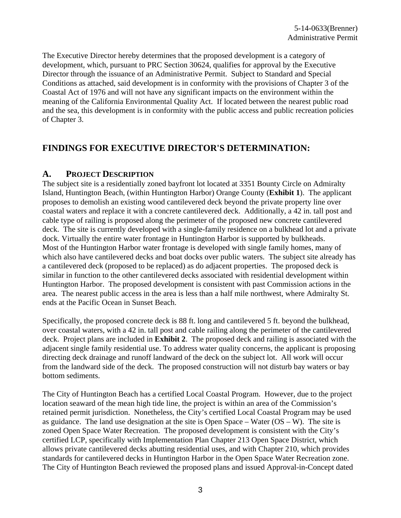The Executive Director hereby determines that the proposed development is a category of development, which, pursuant to PRC Section 30624, qualifies for approval by the Executive Director through the issuance of an Administrative Permit. Subject to Standard and Special Conditions as attached, said development is in conformity with the provisions of Chapter 3 of the Coastal Act of 1976 and will not have any significant impacts on the environment within the meaning of the California Environmental Quality Act. If located between the nearest public road and the sea, this development is in conformity with the public access and public recreation policies of Chapter 3.

## **FINDINGS FOR EXECUTIVE DIRECTOR'S DETERMINATION:**

#### **A. PROJECT DESCRIPTION**

The subject site is a residentially zoned bayfront lot located at 3351 Bounty Circle on Admiralty Island, Huntington Beach, (within Huntington Harbor) Orange County (**Exhibit 1**). The applicant proposes to demolish an existing wood cantilevered deck beyond the private property line over coastal waters and replace it with a concrete cantilevered deck. Additionally, a 42 in. tall post and cable type of railing is proposed along the perimeter of the proposed new concrete cantilevered deck. The site is currently developed with a single-family residence on a bulkhead lot and a private dock. Virtually the entire water frontage in Huntington Harbor is supported by bulkheads. Most of the Huntington Harbor water frontage is developed with single family homes, many of which also have cantilevered decks and boat docks over public waters. The subject site already has a cantilevered deck (proposed to be replaced) as do adjacent properties. The proposed deck is similar in function to the other cantilevered decks associated with residential development within Huntington Harbor. The proposed development is consistent with past Commission actions in the area. The nearest public access in the area is less than a half mile northwest, where Admiralty St. ends at the Pacific Ocean in Sunset Beach.

Specifically, the proposed concrete deck is 88 ft. long and cantilevered 5 ft. beyond the bulkhead, over coastal waters, with a 42 in. tall post and cable railing along the perimeter of the cantilevered deck. Project plans are included in **Exhibit 2**. The proposed deck and railing is associated with the adjacent single family residential use. To address water quality concerns, the applicant is proposing directing deck drainage and runoff landward of the deck on the subject lot. All work will occur from the landward side of the deck. The proposed construction will not disturb bay waters or bay bottom sediments.

The City of Huntington Beach has a certified Local Coastal Program. However, due to the project location seaward of the mean high tide line, the project is within an area of the Commission's retained permit jurisdiction. Nonetheless, the City's certified Local Coastal Program may be used as guidance. The land use designation at the site is Open Space – Water  $(OS - W)$ . The site is zoned Open Space Water Recreation. The proposed development is consistent with the City's certified LCP, specifically with Implementation Plan Chapter 213 Open Space District, which allows private cantilevered decks abutting residential uses, and with Chapter 210, which provides standards for cantilevered decks in Huntington Harbor in the Open Space Water Recreation zone. The City of Huntington Beach reviewed the proposed plans and issued Approval-in-Concept dated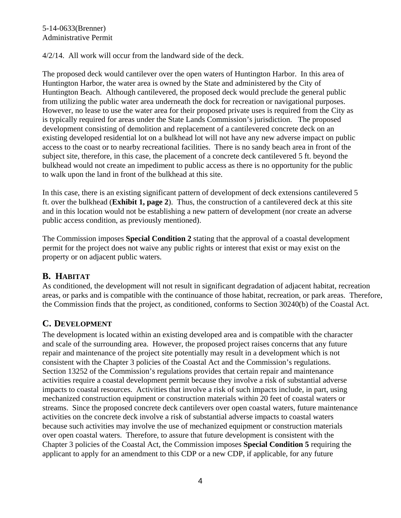4/2/14. All work will occur from the landward side of the deck.

The proposed deck would cantilever over the open waters of Huntington Harbor. In this area of Huntington Harbor, the water area is owned by the State and administered by the City of Huntington Beach. Although cantilevered, the proposed deck would preclude the general public from utilizing the public water area underneath the dock for recreation or navigational purposes. However, no lease to use the water area for their proposed private uses is required from the City as is typically required for areas under the State Lands Commission's jurisdiction. The proposed development consisting of demolition and replacement of a cantilevered concrete deck on an existing developed residential lot on a bulkhead lot will not have any new adverse impact on public access to the coast or to nearby recreational facilities. There is no sandy beach area in front of the subject site, therefore, in this case, the placement of a concrete deck cantilevered 5 ft. beyond the bulkhead would not create an impediment to public access as there is no opportunity for the public to walk upon the land in front of the bulkhead at this site.

In this case, there is an existing significant pattern of development of deck extensions cantilevered 5 ft. over the bulkhead (**Exhibit 1, page 2**). Thus, the construction of a cantilevered deck at this site and in this location would not be establishing a new pattern of development (nor create an adverse public access condition, as previously mentioned).

The Commission imposes **Special Condition 2** stating that the approval of a coastal development permit for the project does not waive any public rights or interest that exist or may exist on the property or on adjacent public waters.

### **B. HABITAT**

As conditioned, the development will not result in significant degradation of adjacent habitat, recreation areas, or parks and is compatible with the continuance of those habitat, recreation, or park areas. Therefore, the Commission finds that the project, as conditioned, conforms to Section 30240(b) of the Coastal Act.

## **C. DEVELOPMENT**

The development is located within an existing developed area and is compatible with the character and scale of the surrounding area. However, the proposed project raises concerns that any future repair and maintenance of the project site potentially may result in a development which is not consistent with the Chapter 3 policies of the Coastal Act and the Commission's regulations. Section 13252 of the Commission's regulations provides that certain repair and maintenance activities require a coastal development permit because they involve a risk of substantial adverse impacts to coastal resources. Activities that involve a risk of such impacts include, in part, using mechanized construction equipment or construction materials within 20 feet of coastal waters or streams. Since the proposed concrete deck cantilevers over open coastal waters, future maintenance activities on the concrete deck involve a risk of substantial adverse impacts to coastal waters because such activities may involve the use of mechanized equipment or construction materials over open coastal waters. Therefore, to assure that future development is consistent with the Chapter 3 policies of the Coastal Act, the Commission imposes **Special Condition 5** requiring the applicant to apply for an amendment to this CDP or a new CDP, if applicable, for any future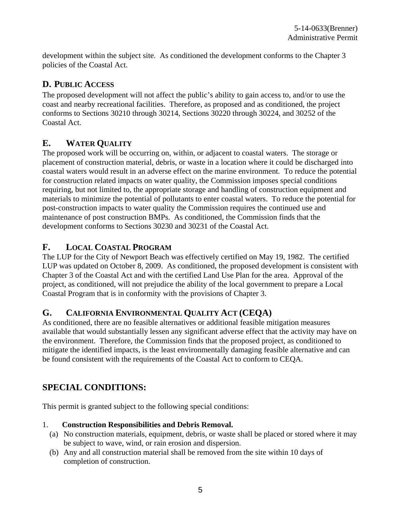development within the subject site. As conditioned the development conforms to the Chapter 3 policies of the Coastal Act.

## **D. PUBLIC ACCESS**

The proposed development will not affect the public's ability to gain access to, and/or to use the coast and nearby recreational facilities. Therefore, as proposed and as conditioned, the project conforms to Sections 30210 through 30214, Sections 30220 through 30224, and 30252 of the Coastal Act.

## **E. WATER QUALITY**

The proposed work will be occurring on, within, or adjacent to coastal waters. The storage or placement of construction material, debris, or waste in a location where it could be discharged into coastal waters would result in an adverse effect on the marine environment. To reduce the potential for construction related impacts on water quality, the Commission imposes special conditions requiring, but not limited to, the appropriate storage and handling of construction equipment and materials to minimize the potential of pollutants to enter coastal waters. To reduce the potential for post-construction impacts to water quality the Commission requires the continued use and maintenance of post construction BMPs. As conditioned, the Commission finds that the development conforms to Sections 30230 and 30231 of the Coastal Act.

## **F. LOCAL COASTAL PROGRAM**

The LUP for the City of Newport Beach was effectively certified on May 19, 1982. The certified LUP was updated on October 8, 2009. As conditioned, the proposed development is consistent with Chapter 3 of the Coastal Act and with the certified Land Use Plan for the area. Approval of the project, as conditioned, will not prejudice the ability of the local government to prepare a Local Coastal Program that is in conformity with the provisions of Chapter 3.

## **G. CALIFORNIA ENVIRONMENTAL QUALITY ACT (CEQA)**

As conditioned, there are no feasible alternatives or additional feasible mitigation measures available that would substantially lessen any significant adverse effect that the activity may have on the environment. Therefore, the Commission finds that the proposed project, as conditioned to mitigate the identified impacts, is the least environmentally damaging feasible alternative and can be found consistent with the requirements of the Coastal Act to conform to CEQA.

## **SPECIAL CONDITIONS:**

This permit is granted subject to the following special conditions:

### 1. **Construction Responsibilities and Debris Removal.**

- (a) No construction materials, equipment, debris, or waste shall be placed or stored where it may be subject to wave, wind, or rain erosion and dispersion.
- (b) Any and all construction material shall be removed from the site within 10 days of completion of construction.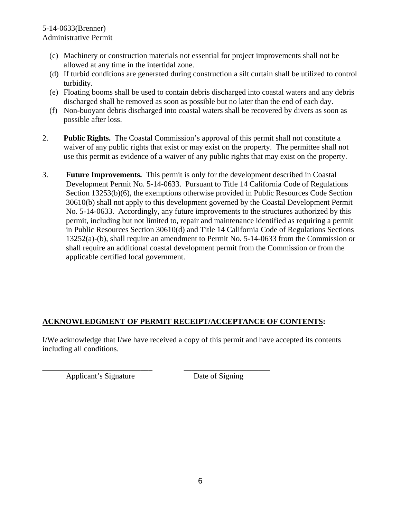- (c) Machinery or construction materials not essential for project improvements shall not be allowed at any time in the intertidal zone.
- (d) If turbid conditions are generated during construction a silt curtain shall be utilized to control turbidity.
- (e) Floating booms shall be used to contain debris discharged into coastal waters and any debris discharged shall be removed as soon as possible but no later than the end of each day.
- (f) Non-buoyant debris discharged into coastal waters shall be recovered by divers as soon as possible after loss.
- 2. **Public Rights.** The Coastal Commission's approval of this permit shall not constitute a waiver of any public rights that exist or may exist on the property. The permittee shall not use this permit as evidence of a waiver of any public rights that may exist on the property.
- 3. **Future Improvements.** This permit is only for the development described in Coastal Development Permit No. 5-14-0633. Pursuant to Title 14 California Code of Regulations Section 13253(b)(6), the exemptions otherwise provided in Public Resources Code Section 30610(b) shall not apply to this development governed by the Coastal Development Permit No. 5-14-0633. Accordingly, any future improvements to the structures authorized by this permit, including but not limited to, repair and maintenance identified as requiring a permit in Public Resources Section 30610(d) and Title 14 California Code of Regulations Sections 13252(a)-(b), shall require an amendment to Permit No. 5-14-0633 from the Commission or shall require an additional coastal development permit from the Commission or from the applicable certified local government.

### **ACKNOWLEDGMENT OF PERMIT RECEIPT/ACCEPTANCE OF CONTENTS:**

\_\_\_\_\_\_\_\_\_\_\_\_\_\_\_\_\_\_\_\_\_\_\_\_\_\_\_\_ \_\_\_\_\_\_\_\_\_\_\_\_\_\_\_\_\_\_\_\_\_\_

I/We acknowledge that I/we have received a copy of this permit and have accepted its contents including all conditions.

Applicant's Signature Date of Signing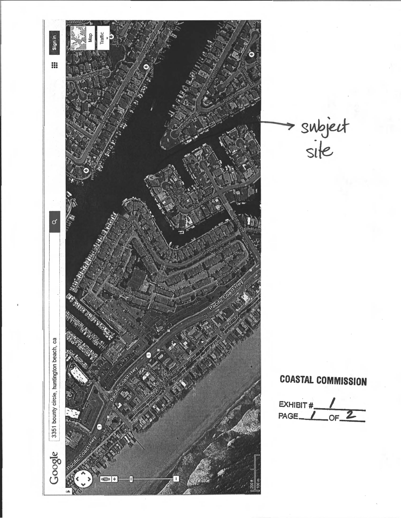

> subject<br>site

# **COASTAL COMMISSION**

EXHIBIT#  $OF<sup>2</sup>$ PAGE.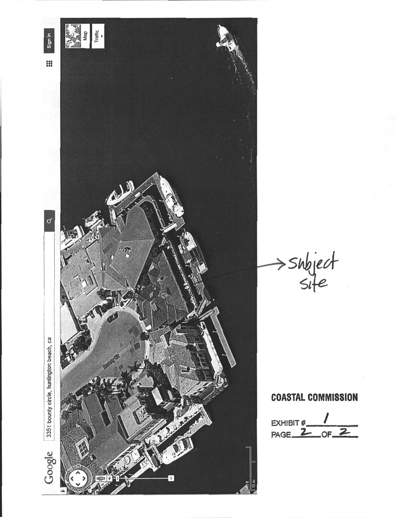

 $\Rightarrow$  subject

# **COASTAL COMMISSION**

EXHIBIT  $\frac{1}{2}$  of 2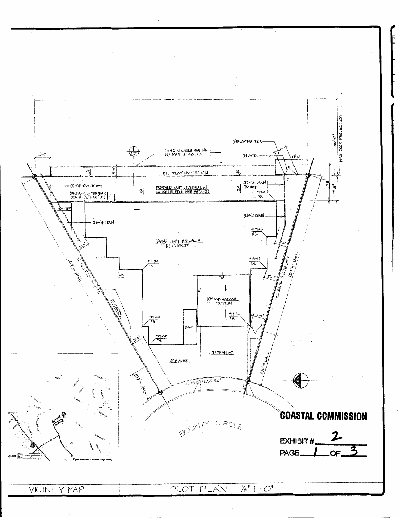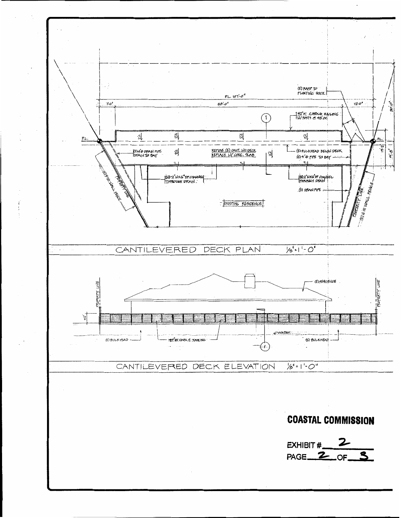